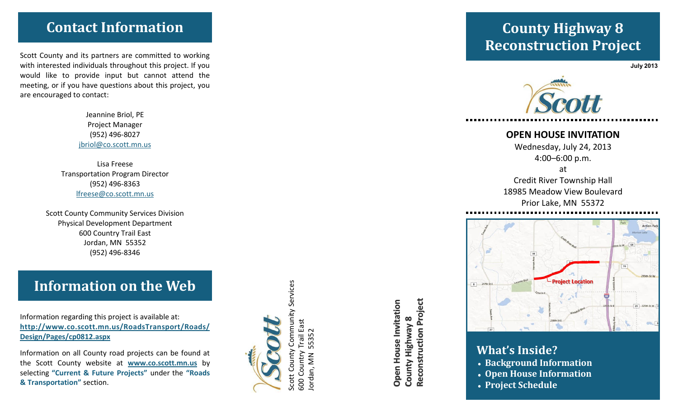# **Contact Information**

Scott County and its partners are committed to working with interested individuals throughout this project. If you would like to provide input but cannot attend the meeting, or if you have questions about this project, you are encouraged to contact:

> Jeannine Briol, PE Project Manager (952) 496 -8027 jbriol@co.scott.mn.us

Lisa Freese Transportation Program Director (952) 496 -8363 lfreese@co.scott.mn.us

Scott County Community Services Division Physical Development Department 600 Country Trail East Jordan, MN 55352 (952) 496 -8346

# **Information on the Web**

Information regarding this project is available at: **http://www.co.scott.mn.us/RoadsTransport/Roads/ Design/Pages/cp0812.aspx**

Information on all County road projects can be found at the Scott County website at **www.co.scott.mn.us** by selecting **"Current & Future Projects"** under the **"Roads & Transportation"** section.



600 Country Trail East Jordan, MN 55352

 $\overline{35}$ in<br>D

 $\sum_{i=1}^{n}$ 

ordan,

Reconstruction Project **Reconstruction Project Open House Invitation Open House Invitation** County Highway 8 **County Highway 8**

# **County Highway 8 Reconstruction Project**

**July 2013**



### **OPEN HOUSE INVITATION**

Wednesday, July 24, 2013 4:00 –6:00 p.m.

at Credit River Township Hall 18985 Meadow View Boulevard Prior Lake, MN 55372



## **What's Inside?**

- **Background Information**
- **Open House Information**
- **Project Schedule**